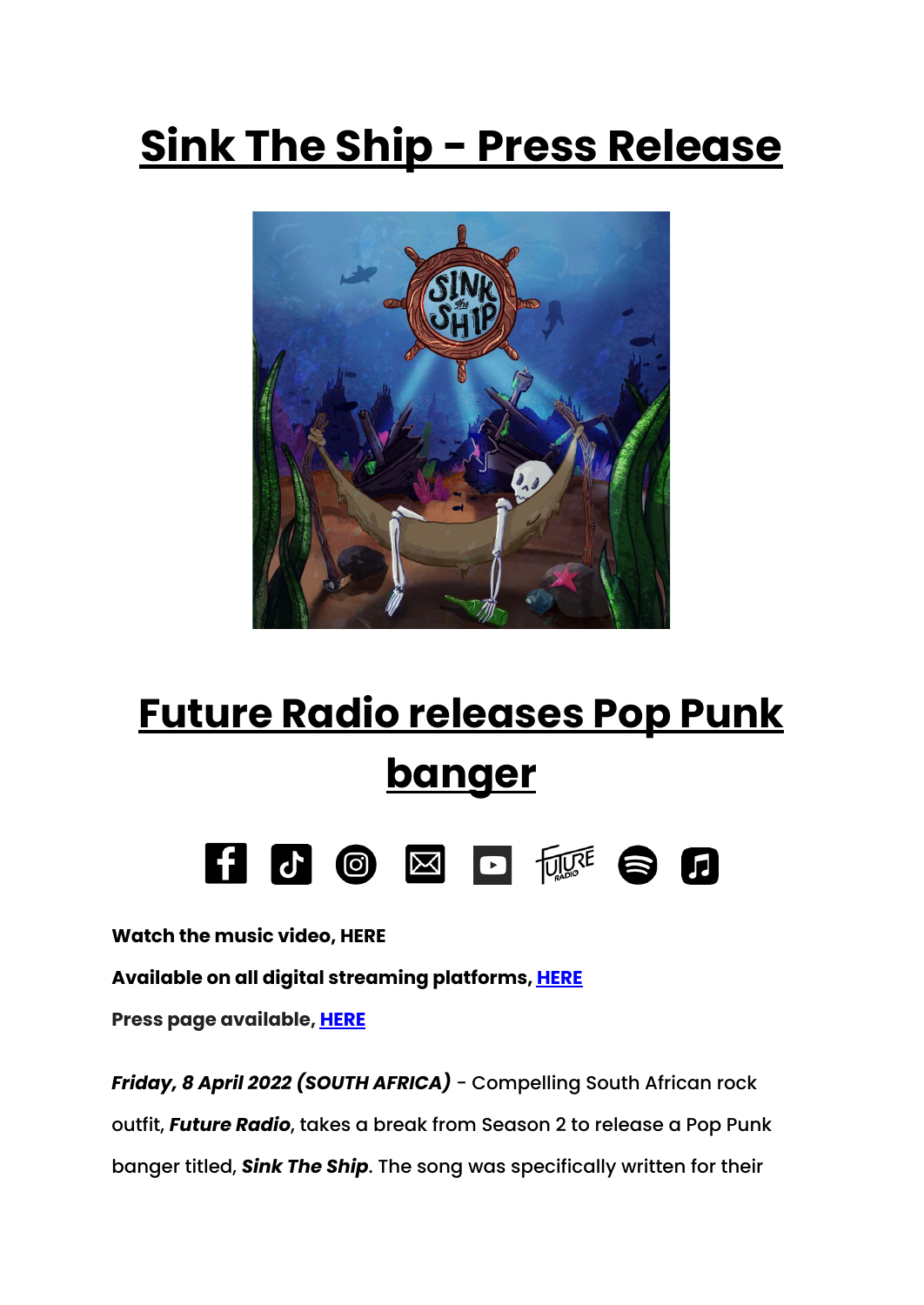## **Sink The Ship - Press Release**



## **Future Radio releases Pop Punk banger**



**Watch the music video, HERE**

**Available on all digital streaming platforms, [HERE](https://distrokid.com/hyperfollow/futureradio/sink-the-ship)**

**Press page available, [HERE](https://youtu.be/05PaViZ4SrI)**

*Friday, 8 April 2022 (SOUTH AFRICA)* - Compelling South African rock outfit, *Future Radio*, takes a break from Season 2 to release a Pop Punk banger titled, *Sink The Ship*. The song was specifically written for their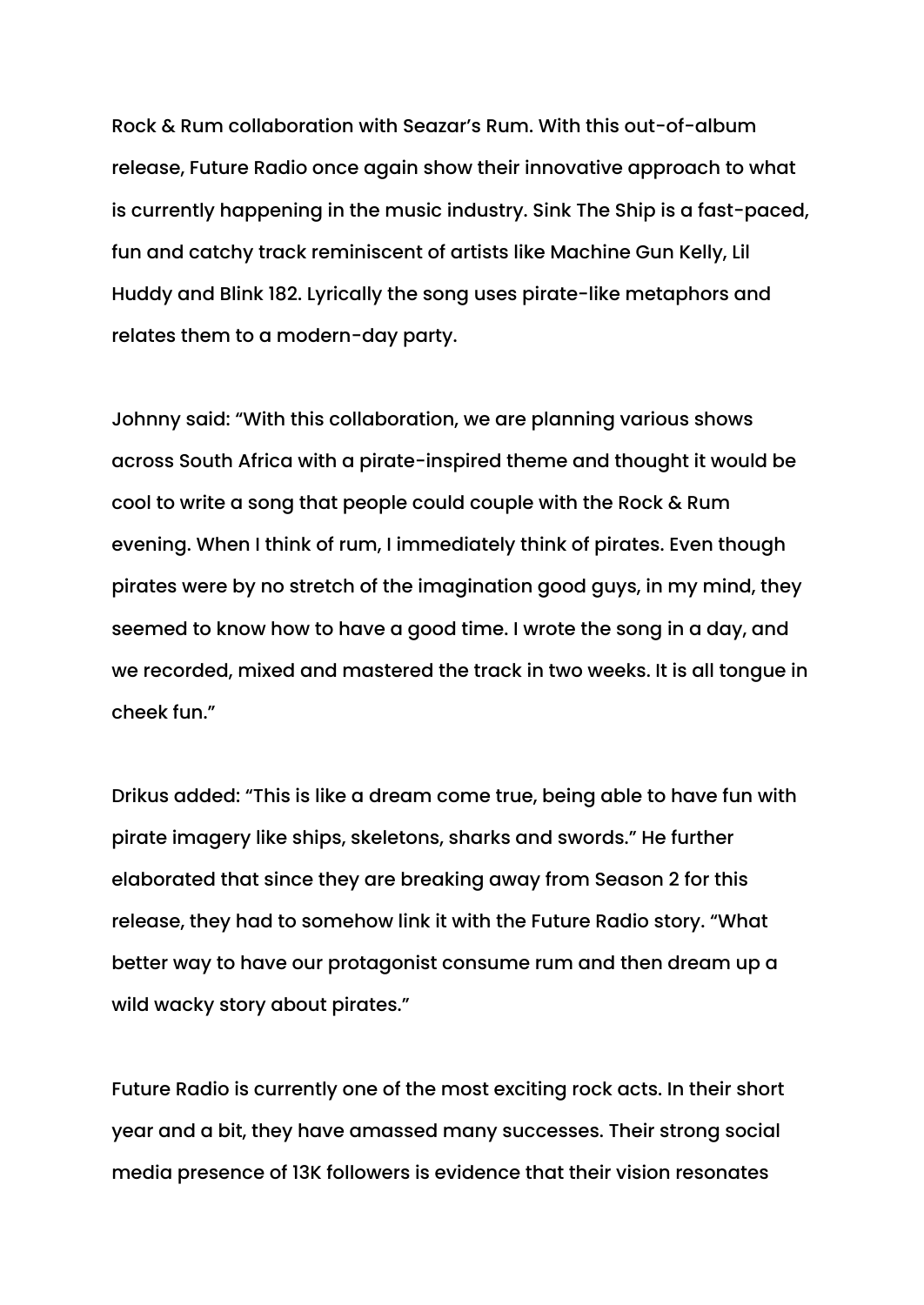Rock & Rum collaboration with Seazar's Rum. With this out-of-album release, Future Radio once again show their innovative approach to what is currently happening in the music industry. Sink The Ship is a fast-paced, fun and catchy track reminiscent of artists like Machine Gun Kelly, Lil Huddy and Blink 182. Lyrically the song uses pirate-like metaphors and relates them to a modern-day party.

Johnny said: "With this collaboration, we are planning various shows across South Africa with a pirate-inspired theme and thought it would be cool to write a song that people could couple with the Rock & Rum evening. When I think of rum, I immediately think of pirates. Even though pirates were by no stretch of the imagination good guys, in my mind, they seemed to know how to have a good time. I wrote the song in a day, and we recorded, mixed and mastered the track in two weeks. It is all tongue in cheek fun."

Drikus added: "This is like a dream come true, being able to have fun with pirate imagery like ships, skeletons, sharks and swords." He further elaborated that since they are breaking away from Season 2 for this release, they had to somehow link it with the Future Radio story. "What better way to have our protagonist consume rum and then dream up a wild wacky story about pirates."

Future Radio is currently one of the most exciting rock acts. In their short year and a bit, they have amassed many successes. Their strong social media presence of 13K followers is evidence that their vision resonates